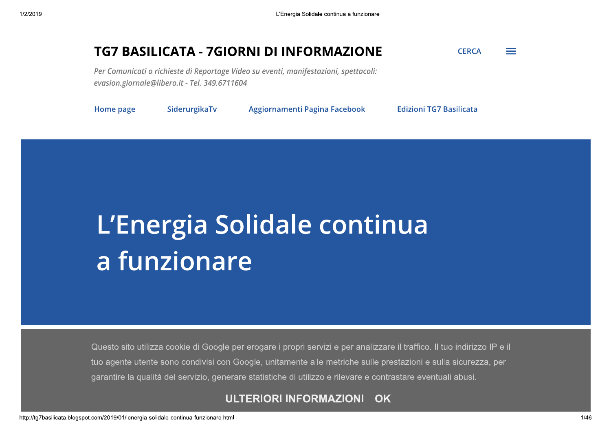#### **TG7 BASILICATA - 7GIORNI DI INFORMAZIONE CERCA** e en

Per Comunicati o richieste di Reportage Video su eventi, manifestazioni, spettacoli: evasion.giornale@libero.it - Tel. 349.6711604

| Home page<br>SiderurgikaTv | Aggiornamenti Pagina Facebook | <b>Edizioni TG7 Basilicata</b> |
|----------------------------|-------------------------------|--------------------------------|
|----------------------------|-------------------------------|--------------------------------|

# L'Energia Solidale continua la funzionare

Questo sito utilizza cookie di Google per erogare i propri servizi e per analizzare il traffico. Il tuo indirizzo IP e il tuo agente utente sono condivisi con Google, unitamente alle metriche sulle prestazioni e sulla sicurezza, per garantire la qualità del servizio, generare statistiche di utilizzo e rilevare e contrastare eventuali abusi.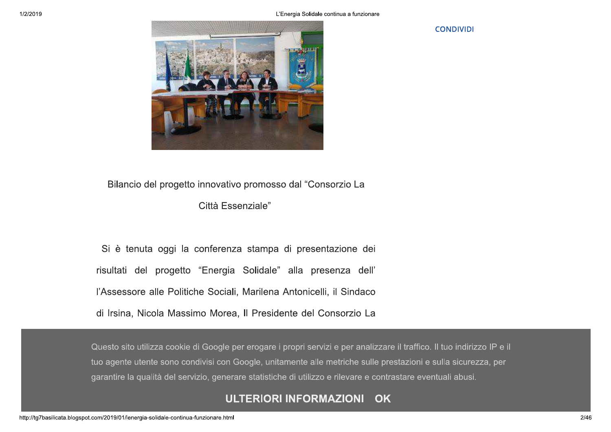**CONDIVIDI** 



## Bilancio del progetto innovativo promosso dal "Consorzio La

#### Città Essenziale"

Si è tenuta oggi la conferenza stampa di presentazione dei risultati del progetto "Energia Solidale" alla presenza dell' l'Assessore alle Politiche Sociali, Marilena Antonicelli, il Sindaco di Irsina, Nicola Massimo Morea, Il Presidente del Consorzio La

Questo sito utilizza cookie di Google per erogare i propri servizi e per analizzare il traffico. Il tuo indirizzo IP e il tuo agente utente sono condivisi con Google, unitamente alle metriche sulle prestazioni e sulla sicurezza, per garantire la qualità del servizio, generare statistiche di utilizzo e rilevare e contrastare eventuali abusi.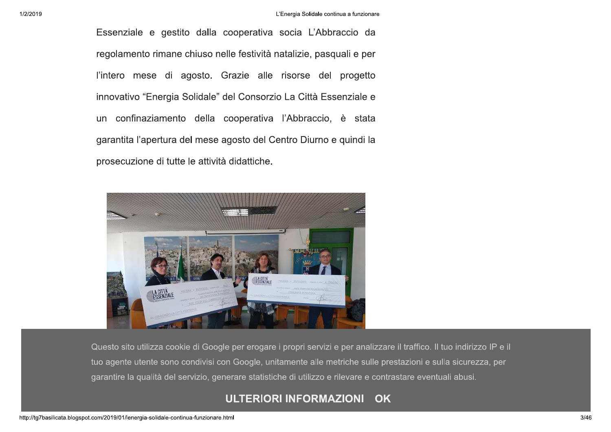Essenziale e gestito dalla cooperativa socia L'Abbraccio da regolamento rimane chiuso nelle festività natalizie, pasquali e per l'intero mese di agosto. Grazie alle risorse del progetto innovativo "Energia Solidale" del Consorzio La Città Essenziale e un confinaziamento della cooperativa l'Abbraccio, è stata garantita l'apertura del mese agosto del Centro Diurno e quindi la prosecuzione di tutte le attività didattiche.



Questo sito utilizza cookie di Google per erogare i propri servizi e per analizzare il traffico. Il tuo indirizzo IP e il tuo agente utente sono condivisi con Google, unitamente alle metriche sulle prestazioni e sulla sicurezza, per garantire la qualità del servizio, generare statistiche di utilizzo e rilevare e contrastare eventuali abusi.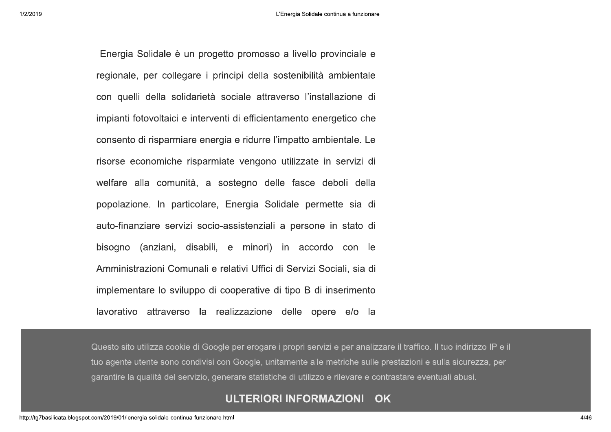1/2/2019

Energia Solidale è un progetto promosso a livello provinciale e regionale, per collegare i principi della sostenibilità ambientale con quelli della solidarietà sociale attraverso l'installazione di impianti fotovoltaici e interventi di efficientamento energetico che consento di risparmiare energia e ridurre l'impatto ambientale. Le risorse economiche risparmiate vengono utilizzate in servizi di welfare alla comunità, a sostegno delle fasce deboli della popolazione. In particolare, Energia Solidale permette sia di auto-finanziare servizi socio-assistenziali a persone in stato di bisogno (anziani, disabili, e minori) in accordo con le Amministrazioni Comunali e relativi Uffici di Servizi Sociali, sia di implementare lo sviluppo di cooperative di tipo B di inserimento lavorativo attraverso la realizzazione delle opere e/o la

Questo sito utilizza cookie di Google per erogare i propri servizi e per analizzare il traffico. Il tuo indirizzo IP e il tuo agente utente sono condivisi con Google, unitamente alle metriche sulle prestazioni e sulla sicurezza, per garantire la qualità del servizio, generare statistiche di utilizzo e rilevare e contrastare eventuali abusi.